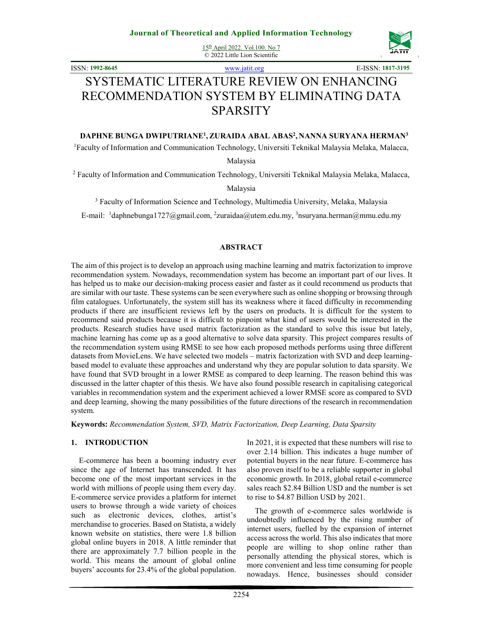

ISSN: **1992-8645** www.jatit.org E-ISSN: **1817-3195**

# SYSTEMATIC LITERATURE REVIEW ON ENHANCING RECOMMENDATION SYSTEM BY ELIMINATING DATA SPARSITY

# **DAPHNE BUNGA DWIPUTRIANE<sup>1</sup> , ZURAIDA ABAL ABAS<sup>2</sup> , NANNA SURYANA HERMAN<sup>3</sup>**

<sup>1</sup>Faculty of Information and Communication Technology, Universiti Teknikal Malaysia Melaka, Malacca,

Malaysia

<sup>2</sup> Faculty of Information and Communication Technology, Universiti Teknikal Malaysia Melaka, Malacca,

Malaysia

<sup>3</sup> Faculty of Information Science and Technology, Multimedia University, Melaka, Malaysia

E-mail: <sup>1</sup>daphnebunga1727@gmail.com, <sup>2</sup>zuraidaa@utem.edu.my, <sup>3</sup>nsuryana.herman@mmu.edu.my

### **ABSTRACT**

The aim of this project is to develop an approach using machine learning and matrix factorization to improve recommendation system. Nowadays, recommendation system has become an important part of our lives. It has helped us to make our decision-making process easier and faster as it could recommend us products that are similar with our taste. These systems can be seen everywhere such as online shopping or browsing through film catalogues. Unfortunately, the system still has its weakness where it faced difficulty in recommending products if there are insufficient reviews left by the users on products. It is difficult for the system to recommend said products because it is difficult to pinpoint what kind of users would be interested in the products. Research studies have used matrix factorization as the standard to solve this issue but lately, machine learning has come up as a good alternative to solve data sparsity. This project compares results of the recommendation system using RMSE to see how each proposed methods performs using three different datasets from MovieLens. We have selected two models – matrix factorization with SVD and deep learningbased model to evaluate these approaches and understand why they are popular solution to data sparsity. We have found that SVD brought in a lower RMSE as compared to deep learning. The reason behind this was discussed in the latter chapter of this thesis. We have also found possible research in capitalising categorical variables in recommendation system and the experiment achieved a lower RMSE score as compared to SVD and deep learning, showing the many possibilities of the future directions of the research in recommendation system.

**Keywords:** *Recommendation System, SVD, Matrix Factorization, Deep Learning, Data Sparsity*

# **1. INTRODUCTION**

E-commerce has been a booming industry ever since the age of Internet has transcended. It has become one of the most important services in the world with millions of people using them every day. E-commerce service provides a platform for internet users to browse through a wide variety of choices such as electronic devices, clothes, artist's merchandise to groceries. Based on Statista, a widely known website on statistics, there were 1.8 billion global online buyers in 2018. A little reminder that there are approximately 7.7 billion people in the world. This means the amount of global online buyers' accounts for 23.4% of the global population.

personally attending the physical stores, which is more convenient and less time consuming for people nowadays. Hence, businesses should consider

In 2021, it is expected that these numbers will rise to over 2.14 billion. This indicates a huge number of potential buyers in the near future. E-commerce has also proven itself to be a reliable supporter in global economic growth. In 2018, global retail e-commerce sales reach \$2.84 Billion USD and the number is set

The growth of e-commerce sales worldwide is undoubtedly influenced by the rising number of internet users, fuelled by the expansion of internet access across the world. This also indicates that more people are willing to shop online rather than

to rise to \$4.87 Billion USD by 2021.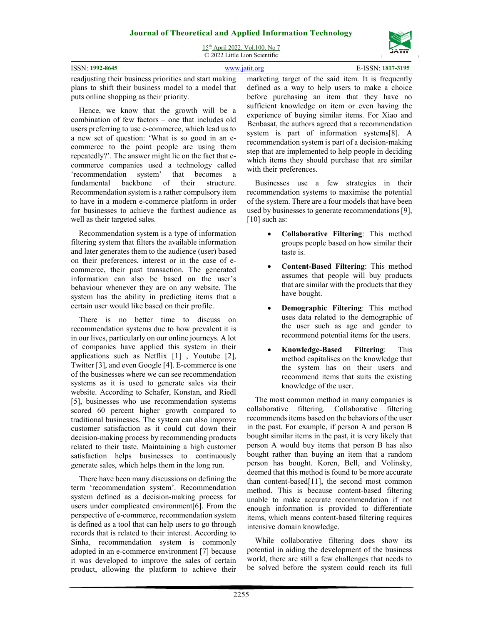

15th April 2022. Vol.100. No 7 © 2022 Little Lion Scientific

| <b>ISSN: 1992-8645</b>                                                                                     | E-ISSN: 1817-3195<br>www.jatit.org |  |
|------------------------------------------------------------------------------------------------------------|------------------------------------|--|
| readjusting their business priorities and start making marketing target of the said item. It is frequently |                                    |  |
| plans to shift their business model to a model that defined as a way to help users to make a choice        |                                    |  |

Hence, we know that the growth will be a combination of few factors – one that includes old users preferring to use e-commerce, which lead us to a new set of question: 'What is so good in an ecommerce to the point people are using them repeatedly?'. The answer might lie on the fact that ecommerce companies used a technology called 'recommendation system' that becomes a fundamental backbone of their structure. Recommendation system is a rather compulsory item to have in a modern e-commerce platform in order for businesses to achieve the furthest audience as well as their targeted sales.

puts online shopping as their priority.

Recommendation system is a type of information filtering system that filters the available information and later generates them to the audience (user) based on their preferences, interest or in the case of ecommerce, their past transaction. The generated information can also be based on the user's behaviour whenever they are on any website. The system has the ability in predicting items that a certain user would like based on their profile.

There is no better time to discuss on recommendation systems due to how prevalent it is in our lives, particularly on our online journeys. A lot of companies have applied this system in their applications such as Netflix [1] , Youtube [2], Twitter [3], and even Google [4]. E-commerce is one of the businesses where we can see recommendation systems as it is used to generate sales via their website. According to Schafer, Konstan, and Riedl [5], businesses who use recommendation systems scored 60 percent higher growth compared to traditional businesses. The system can also improve customer satisfaction as it could cut down their decision-making process by recommending products related to their taste. Maintaining a high customer satisfaction helps businesses to continuously generate sales, which helps them in the long run.

There have been many discussions on defining the term 'recommendation system'. Recommendation system defined as a decision-making process for users under complicated environment[6]. From the perspective of e-commerce, recommendation system is defined as a tool that can help users to go through records that is related to their interest. According to Sinha, recommendation system is commonly adopted in an e-commerce environment [7] because it was developed to improve the sales of certain product, allowing the platform to achieve their defined as a way to help users to make a choice before purchasing an item that they have no sufficient knowledge on item or even having the experience of buying similar items. For Xiao and Benbasat, the authors agreed that a recommendation system is part of information systems[8]. A recommendation system is part of a decision-making step that are implemented to help people in deciding which items they should purchase that are similar with their preferences.

Businesses use a few strategies in their recommendation systems to maximise the potential of the system. There are a four models that have been used by businesses to generate recommendations [9], [10] such as:

- **Collaborative Filtering**: This method groups people based on how similar their taste is.
- **Content-Based Filtering**: This method assumes that people will buy products that are similar with the products that they have bought.
- **Demographic Filtering**: This method uses data related to the demographic of the user such as age and gender to recommend potential items for the users.
- **Knowledge-Based Filtering**: This method capitalises on the knowledge that the system has on their users and recommend items that suits the existing knowledge of the user.

The most common method in many companies is collaborative filtering. Collaborative filtering recommends items based on the behaviors of the user in the past. For example, if person A and person B bought similar items in the past, it is very likely that person A would buy items that person B has also bought rather than buying an item that a random person has bought. Koren, Bell, and Volinsky, deemed that this method is found to be more accurate than content-based[11], the second most common method. This is because content-based filtering unable to make accurate recommendation if not enough information is provided to differentiate items, which means content-based filtering requires intensive domain knowledge.

While collaborative filtering does show its potential in aiding the development of the business world, there are still a few challenges that needs to be solved before the system could reach its full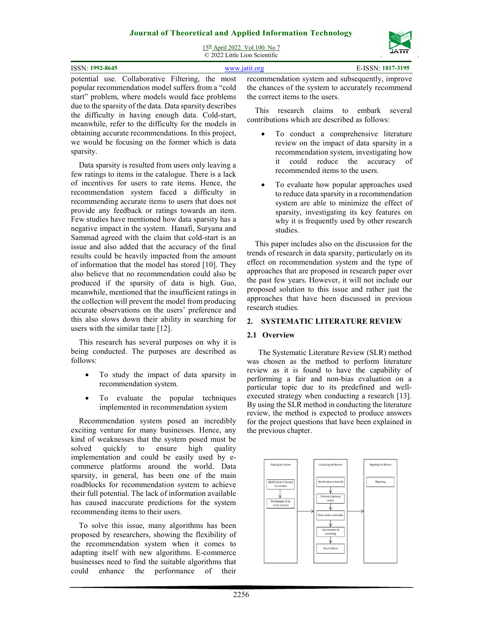

15th April 2022. Vol.100. No 7 © 2022 Little Lion Scientific

| ISSN: 1992-8645<br>www.1at1t.org |  | E-ISSN: 1817-3195 |  |                                                                                               |
|----------------------------------|--|-------------------|--|-----------------------------------------------------------------------------------------------|
|                                  |  |                   |  | notontial use Collaborative Eiltering the most recommendation system and subsequently improve |

potential use. Collaborative Filtering, the most popular recommendation model suffers from a "cold start" problem, where models would face problems due to the sparsity of the data. Data sparsity describes the difficulty in having enough data. Cold-start, meanwhile, refer to the difficulty for the models in obtaining accurate recommendations. In this project, we would be focusing on the former which is data sparsity.

Data sparsity is resulted from users only leaving a few ratings to items in the catalogue. There is a lack of incentives for users to rate items. Hence, the recommendation system faced a difficulty in recommending accurate items to users that does not provide any feedback or ratings towards an item. Few studies have mentioned how data sparsity has a negative impact in the system. Hanafi, Suryana and Sammad agreed with the claim that cold-start is an issue and also added that the accuracy of the final results could be heavily impacted from the amount of information that the model has stored [10]. They also believe that no recommendation could also be produced if the sparsity of data is high. Guo, meanwhile, mentioned that the insufficient ratings in the collection will prevent the model from producing accurate observations on the users' preference and this also slows down their ability in searching for users with the similar taste [12].

This research has several purposes on why it is being conducted. The purposes are described as follows:

- To study the impact of data sparsity in recommendation system.
- To evaluate the popular techniques implemented in recommendation system

Recommendation system posed an incredibly exciting venture for many businesses. Hence, any kind of weaknesses that the system posed must be solved quickly to ensure high quality implementation and could be easily used by ecommerce platforms around the world. Data sparsity, in general, has been one of the main roadblocks for recommendation system to achieve their full potential. The lack of information available has caused inaccurate predictions for the system recommending items to their users.

To solve this issue, many algorithms has been proposed by researchers, showing the flexibility of the recommendation system when it comes to adapting itself with new algorithms. E-commerce businesses need to find the suitable algorithms that could enhance the performance of their

recommendation system and subsequently, improve the chances of the system to accurately recommend the correct items to the users.

This research claims to embark several contributions which are described as follows:

- To conduct a comprehensive literature review on the impact of data sparsity in a recommendation system, investigating how it could reduce the accuracy of recommended items to the users.
- To evaluate how popular approaches used to reduce data sparsity in a recommendation system are able to minimize the effect of sparsity, investigating its key features on why it is frequently used by other research studies.

This paper includes also on the discussion for the trends of research in data sparsity, particularly on its effect on recommendation system and the type of approaches that are proposed in research paper over the past few years. However, it will not include our proposed solution to this issue and rather just the approaches that have been discussed in previous research studies.

### **2. SYSTEMATIC LITERATURE REVIEW**

### **2.1 Overview**

The Systematic Literature Review (SLR) method was chosen as the method to perform literature review as it is found to have the capability of performing a fair and non-bias evaluation on a particular topic due to its predefined and wellexecuted strategy when conducting a research [13]. By using the SLR method in conducting the literature review, the method is expected to produce answers for the project questions that have been explained in the previous chapter.

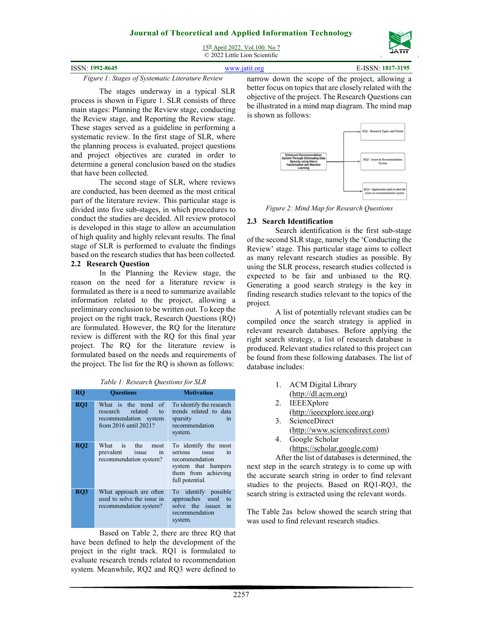|                 | © 2022 Little Lion Scientific | ----              |
|-----------------|-------------------------------|-------------------|
| ISSN: 1992-8645 | www.jatit.org                 | E-ISSN: 1817-3195 |

*Figure 1: Stages of Systematic Literature Review* 

The stages underway in a typical SLR process is shown in Figure 1. SLR consists of three main stages: Planning the Review stage, conducting the Review stage, and Reporting the Review stage. These stages served as a guideline in performing a systematic review. In the first stage of SLR, where the planning process is evaluated, project questions and project objectives are curated in order to determine a general conclusion based on the studies that have been collected.

The second stage of SLR, where reviews are conducted, has been deemed as the most critical part of the literature review. This particular stage is divided into five sub-stages, in which procedures to conduct the studies are decided. All review protocol is developed in this stage to allow an accumulation of high quality and highly relevant results. The final stage of SLR is performed to evaluate the findings based on the research studies that has been collected. **2.2 Research Question** 

In the Planning the Review stage, the reason on the need for a literature review is formulated as there is a need to summarize available information related to the project, allowing a preliminary conclusion to be written out. To keep the project on the right track, Research Questions (RQ) are formulated. However, the RQ for the literature review is different with the RQ for this final year project. The RQ for the literature review is formulated based on the needs and requirements of the project. The list for the RQ is shown as follows:

|  | Table 1: Research Questions for SLR |
|--|-------------------------------------|
|--|-------------------------------------|

| RQ  | <b>Ouestions</b>                                                                                               | <b>Motivation</b>                                                                                                              |
|-----|----------------------------------------------------------------------------------------------------------------|--------------------------------------------------------------------------------------------------------------------------------|
| RQ1 | What is the trend of<br>research<br>related<br>$\mathsf{to}$<br>recommendation system<br>from 2016 until 2021? | To identify the research<br>trends related to data<br>sparsity<br>in<br>recommendation<br>system.                              |
| RQ2 | What<br>$\frac{1}{18}$<br>the<br>most<br>prevalent issue<br>in<br>recommendation system?                       | To identify the most<br>serious issue<br>in<br>recommendation<br>system that hampers<br>them from achieving<br>full potential. |
| RQ3 | What approach are often<br>used to solve the issue in<br>recommendation system?                                | To identify possible<br>approaches used<br>to<br>solve the issues<br>in<br>recommendation<br>system.                           |

Based on Table 2, there are three RQ that have been defined to help the development of the project in the right track. RQ1 is formulated to evaluate research trends related to recommendation system. Meanwhile, RQ2 and RQ3 were defined to narrow down the scope of the project, allowing a better focus on topics that are closely related with the objective of the project. The Research Questions can be illustrated in a mind map diagram. The mind map is shown as follows:



*Figure 2: Mind Map for Research Questions* 

# **2.3 Search Identification**

Search identification is the first sub-stage of the second SLR stage, namely the 'Conducting the Review' stage. This particular stage aims to collect as many relevant research studies as possible. By using the SLR process, research studies collected is expected to be fair and unbiased to the RQ. Generating a good search strategy is the key in finding research studies relevant to the topics of the project.

A list of potentially relevant studies can be compiled once the search strategy is applied in relevant research databases. Before applying the right search strategy, a list of research database is produced. Relevant studies related to this project can be found from these following databases. The list of database includes:

- 1. ACM Digital Library (http://dl.acm.org)
- 2. IEEEXplore (http://ieeexplore.ieee.org)
- 3. ScienceDirect
- (http://www.sciencedirect.com)
- 4. Google Scholar (https://scholar.google.com)

After the list of databases is determined, the next step in the search strategy is to come up with the accurate search string in order to find relevant studies to the projects. Based on RQ1-RQ3, the search string is extracted using the relevant words.

The Table 2as below showed the search string that was used to find relevant research studies.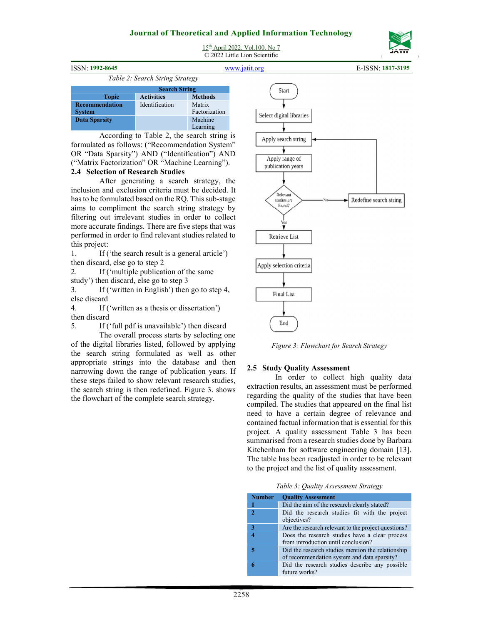# **Journal of Theoretical and Applied Information Technology**  15th April 2022. Vol.100. No 7

© 2022 Little Lion Scientific



| <b>ISSN: 1992-8645</b> |                                 |                | www.jatit.org            | E-ISSN: 1817-3195 |
|------------------------|---------------------------------|----------------|--------------------------|-------------------|
|                        | Table 2: Search String Strategy |                |                          |                   |
|                        | <b>Search String</b>            |                | Start                    |                   |
| Topic                  | <b>Activities</b>               | <b>Methods</b> |                          |                   |
| Recommendation         | Identification                  | Matrix         |                          |                   |
| <b>System</b>          |                                 | Factorization  | Select digital libraries |                   |
| Data Sparsity          |                                 | Machine        |                          |                   |

Learning

According to Table 2, the search string is formulated as follows: ("Recommendation System" OR "Data Sparsity") AND ("Identification") AND ("Matrix Factorization" OR "Machine Learning").

#### **2.4 Selection of Research Studies**

After generating a search strategy, the inclusion and exclusion criteria must be decided. It has to be formulated based on the RQ. This sub-stage aims to compliment the search string strategy by filtering out irrelevant studies in order to collect more accurate findings. There are five steps that was performed in order to find relevant studies related to this project:

1. If ('the search result is a general article') then discard, else go to step 2

2. If ('multiple publication of the same study') then discard, else go to step 3

3. If ('written in English') then go to step 4, else discard

4. If ('written as a thesis or dissertation') then discard

5. If ('full pdf is unavailable') then discard

The overall process starts by selecting one of the digital libraries listed, followed by applying the search string formulated as well as other appropriate strings into the database and then narrowing down the range of publication years. If these steps failed to show relevant research studies, the search string is then redefined. Figure 3. shows the flowchart of the complete search strategy.



*Figure 3: Flowchart for Search Strategy* 

#### **2.5 Study Quality Assessment**

In order to collect high quality data extraction results, an assessment must be performed regarding the quality of the studies that have been compiled. The studies that appeared on the final list need to have a certain degree of relevance and contained factual information that is essential for this project. A quality assessment Table 3 has been summarised from a research studies done by Barbara Kitchenham for software engineering domain [13]. The table has been readjusted in order to be relevant to the project and the list of quality assessment.

*Table 3: Quality Assessment Strategy*

| <b>Number</b> | <b>Quality Assessment</b>                                                                        |
|---------------|--------------------------------------------------------------------------------------------------|
|               | Did the aim of the research clearly stated?                                                      |
| $\mathcal{D}$ | Did the research studies fit with the project<br>objectives?                                     |
| 3             | Are the research relevant to the project questions?                                              |
|               | Does the research studies have a clear process<br>from introduction until conclusion?            |
| 5             | Did the research studies mention the relationship<br>of recommendation system and data sparsity? |
| ĸ             | Did the research studies describe any possible<br>future works?                                  |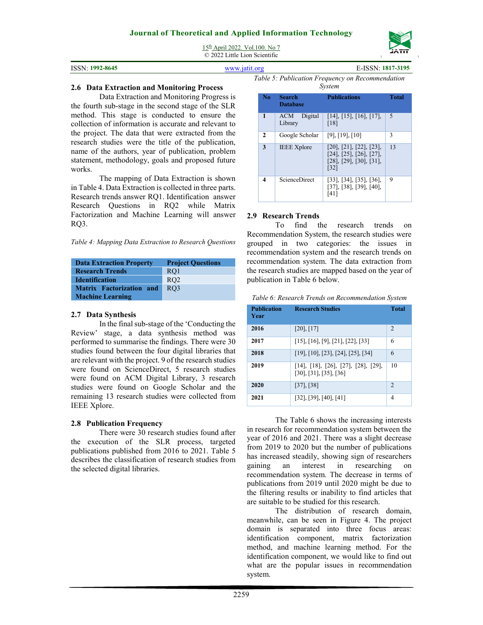ISSN: **1992-8645** www.jatit.org E-ISSN: **1817-3195**

| 15 <sup>th</sup> April 2022. Vol. 100. No 7 |
|---------------------------------------------|
| © 2022 Little Lion Scientific               |

| ISSN: 1992-8645 | www.jatit.org |
|-----------------|---------------|
|                 | $-11 - 11$    |

#### **2.6 Data Extraction and Monitoring Process**

Data Extraction and Monitoring Progress is the fourth sub-stage in the second stage of the SLR method. This stage is conducted to ensure the collection of information is accurate and relevant to the project. The data that were extracted from the research studies were the title of the publication, name of the authors, year of publication, problem statement, methodology, goals and proposed future works.

The mapping of Data Extraction is shown in Table 4. Data Extraction is collected in three parts. Research trends answer RQ1. Identification answer Research Questions in RQ2 while Matrix Factorization and Machine Learning will answer RQ3.

|  |  |  | Table 4: Mapping Data Extraction to Research Questions |  |  |  |
|--|--|--|--------------------------------------------------------|--|--|--|
|--|--|--|--------------------------------------------------------|--|--|--|

| <b>Data Extraction Property</b> | <b>Project Questions</b> |
|---------------------------------|--------------------------|
| <b>Research Trends</b>          | RO1                      |
| <b>Identification</b>           | RO2                      |
| <b>Matrix Factorization and</b> | RO3                      |
| <b>Machine Learning</b>         |                          |

### **2.7 Data Synthesis**

In the final sub-stage of the 'Conducting the Review' stage, a data synthesis method was performed to summarise the findings. There were 30 studies found between the four digital libraries that are relevant with the project. 9 of the research studies were found on ScienceDirect, 5 research studies were found on ACM Digital Library, 3 research studies were found on Google Scholar and the remaining 13 research studies were collected from IEEE Xplore.

### **2.8 Publication Frequency**

There were 30 research studies found after the execution of the SLR process, targeted publications published from 2016 to 2021. Table 5 describes the classification of research studies from the selected digital libraries.

*Table 5: Publication Frequency on Recommendation System*

| No | <b>Search</b><br><b>Database</b> | <b>Publications</b>                                                                                                       | <b>Total</b>             |
|----|----------------------------------|---------------------------------------------------------------------------------------------------------------------------|--------------------------|
| 1  | Digital<br>ACM<br>Library        | $[14]$ , $[15]$ , $[16]$ , $[17]$ ,<br>[18]                                                                               | $\overline{\phantom{1}}$ |
| 2  | Google Scholar                   | $[9]$ , $[19]$ , $[10]$                                                                                                   | 3                        |
| 3  | <b>IEEE</b> Xplore               | $[20]$ , $[21]$ , $[22]$ , $[23]$ ,<br>$[24]$ , $[25]$ , $[26]$ , $[27]$ ,<br>$[28]$ , $[29]$ , $[30]$ , $[31]$ ,<br>[32] | 13                       |
| 4  | <b>ScienceDirect</b>             | $[33]$ , $[34]$ , $[35]$ , $[36]$ ,<br>$[37]$ , $[38]$ , $[39]$ , $[40]$ ,<br>[41]                                        | 9                        |

# **2.9 Research Trends**

To find the research trends on Recommendation System, the research studies were grouped in two categories: the issues in recommendation system and the research trends on recommendation system. The data extraction from the research studies are mapped based on the year of publication in Table 6 below.

*Table 6: Research Trends on Recommendation System*

| <b>Publication</b><br>Year | <b>Research Studies</b>                                       | <b>Total</b>   |
|----------------------------|---------------------------------------------------------------|----------------|
| 2016                       | [20], [17]                                                    | $\overline{2}$ |
| 2017                       | [15], [16], [9], [21], [22], [33]                             | 6              |
| 2018                       | [19], [10], [23], [24], [25], [34]                            | 6              |
| 2019                       | [14], [18], [26], [27], [28], [29],<br>[30], [31], [35], [36] | 10             |
| 2020                       | [37], [38]                                                    | 2              |
| 2021                       | [32], [39], [40], [41]                                        | 4              |

The Table 6 shows the increasing interests in research for recommendation system between the year of 2016 and 2021. There was a slight decrease from 2019 to 2020 but the number of publications has increased steadily, showing sign of researchers gaining an interest in researching on recommendation system. The decrease in terms of publications from 2019 until 2020 might be due to the filtering results or inability to find articles that are suitable to be studied for this research.

The distribution of research domain, meanwhile, can be seen in Figure 4. The project domain is separated into three focus areas: identification component, matrix factorization method, and machine learning method. For the identification component, we would like to find out what are the popular issues in recommendation system.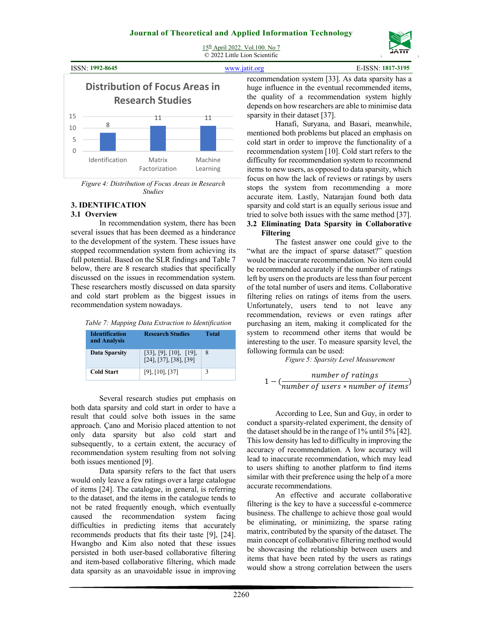

| ISSN: 1992-8645 |  |
|-----------------|--|
|-----------------|--|

ISSN: **1992-8645** www.jatit.org E-ISSN: **1817-3195**



*Figure 4: Distribution of Focus Areas in Research Studies* 

# **3. IDENTIFICATION**

### **3.1 Overview**

In recommendation system, there has been several issues that has been deemed as a hinderance to the development of the system. These issues have stopped recommendation system from achieving its full potential. Based on the SLR findings and Table 7 below, there are 8 research studies that specifically discussed on the issues in recommendation system. These researchers mostly discussed on data sparsity and cold start problem as the biggest issues in recommendation system nowadays.

| <b>Identification</b><br>and Analysis | <b>Research Studies</b>                                                 | Total |
|---------------------------------------|-------------------------------------------------------------------------|-------|
| Data Sparsity                         | $[33]$ , $[9]$ , $[10]$ , $[19]$ ,<br>$[24]$ , $[37]$ , $[38]$ , $[39]$ | 8     |
| <b>Cold Start</b>                     | $[9]$ , $[10]$ , $[37]$                                                 | ٦     |

Several research studies put emphasis on both data sparsity and cold start in order to have a result that could solve both issues in the same approach. Çano and Morisio placed attention to not only data sparsity but also cold start and subsequently, to a certain extent, the accuracy of recommendation system resulting from not solving both issues mentioned [9].

Data sparsity refers to the fact that users would only leave a few ratings over a large catalogue of items [24]. The catalogue, in general, is referring to the dataset, and the items in the catalogue tends to not be rated frequently enough, which eventually caused the recommendation system facing difficulties in predicting items that accurately recommends products that fits their taste [9], [24]. Hwangbo and Kim also noted that these issues persisted in both user-based collaborative filtering and item-based collaborative filtering, which made data sparsity as an unavoidable issue in improving recommendation system [33]. As data sparsity has a huge influence in the eventual recommended items, the quality of a recommendation system highly depends on how researchers are able to minimise data sparsity in their dataset [37].

Hanafi, Suryana, and Basari, meanwhile, mentioned both problems but placed an emphasis on cold start in order to improve the functionality of a recommendation system [10]. Cold start refers to the difficulty for recommendation system to recommend items to new users, as opposed to data sparsity, which focus on how the lack of reviews or ratings by users stops the system from recommending a more accurate item. Lastly, Natarajan found both data sparsity and cold start is an equally serious issue and tried to solve both issues with the same method [37].

# **3.2 Eliminating Data Sparsity in Collaborative Filtering**

The fastest answer one could give to the "what are the impact of sparse dataset?" question would be inaccurate recommendation. No item could be recommended accurately if the number of ratings left by users on the products are less than four percent of the total number of users and items. Collaborative filtering relies on ratings of items from the users. Unfortunately, users tend to not leave any recommendation, reviews or even ratings after purchasing an item, making it complicated for the system to recommend other items that would be interesting to the user. To measure sparsity level, the following formula can be used:

 *Figure 5: Sparsity Level Measurement* 

$$
1 - (\frac{number\ of\ ratings}{number\ of\ users * number\ of\ items})
$$

According to Lee, Sun and Guy, in order to conduct a sparsity-related experiment, the density of the dataset should be in the range of 1% until 5% [42]. This low density has led to difficulty in improving the accuracy of recommendation. A low accuracy will lead to inaccurate recommendation, which may lead to users shifting to another platform to find items similar with their preference using the help of a more accurate recommendations.

An effective and accurate collaborative filtering is the key to have a successful e-commerce business. The challenge to achieve those goal would be eliminating, or minimizing, the sparse rating matrix, contributed by the sparsity of the dataset. The main concept of collaborative filtering method would be showcasing the relationship between users and items that have been rated by the users as ratings would show a strong correlation between the users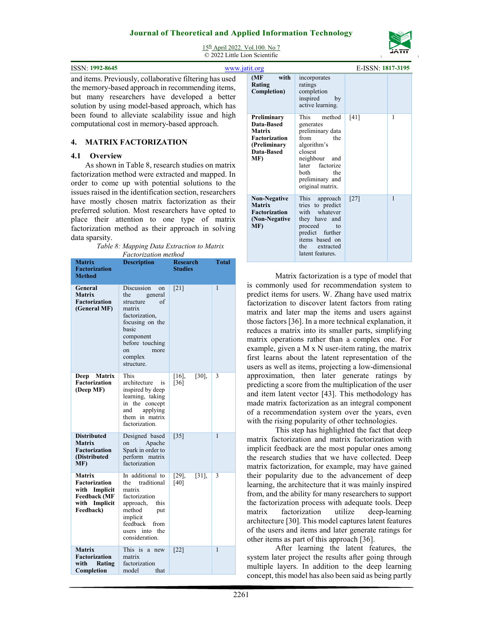

15th April 2022. Vol.100. No 7 © 2022 Little Lion Scientific

**ISSN: 1992-8645 www.jatit.org E-ISSN: 1992-8645** and items. Previously, collaborative filtering has used the memory-based approach in recommending items, but many researchers have developed a better solution by using model-based approach, which has been found to alleviate scalability issue and high computational cost in memory-based approach.

### **4. MATRIX FACTORIZATION**

### **4.1 Overview**

As shown in Table 8, research studies on matrix factorization method were extracted and mapped. In order to come up with potential solutions to the issues raised in the identification section, researchers have mostly chosen matrix factorization as their preferred solution. Most researchers have opted to place their attention to one type of matrix factorization method as their approach in solving data sparsity.

| Table 8: Mapping Data Extraction to Matrix |  |
|--------------------------------------------|--|
| <i>Factorization method</i>                |  |

| Factorization method                                                                                    |                                                                                                                                                                                      |                            |       |  |  |
|---------------------------------------------------------------------------------------------------------|--------------------------------------------------------------------------------------------------------------------------------------------------------------------------------------|----------------------------|-------|--|--|
| Matrix<br><b>Factorization</b><br><b>Method</b>                                                         | <b>Description</b>                                                                                                                                                                   | Research<br><b>Studies</b> | Total |  |  |
| General<br><b>Matrix</b><br><b>Factorization</b><br>(General MF)                                        | Discussion<br>on<br>the<br>general<br>of<br>structure<br>matrix<br>factorization,<br>focusing on the<br>basic<br>component<br>before touching<br>more<br>on<br>complex<br>structure. | [21]                       | 1     |  |  |
| <b>Matrix</b><br><b>Deep</b><br><b>Factorization</b><br>(Deep MF)                                       | This<br>architecture<br>is<br>inspired by deep<br>learning, taking<br>in the concept<br>and<br>applying<br>them in matrix<br>factorization.                                          | $[30]$ ,<br>[16]<br>$[36]$ | 3     |  |  |
| <b>Distributed</b><br><b>Matrix</b><br><b>Factorization</b><br>(Distributed<br>MF)                      | Designed based<br>Apache<br>on<br>Spark in order to<br>perform matrix<br>factorization                                                                                               | $[35]$                     | 1     |  |  |
| <b>Matrix</b><br>Factorization<br>with Implicit<br><b>Feedback</b> (MF<br>Implicit<br>with<br>Feedback) | In additional to<br>traditional<br>the<br>matrix<br>factorization<br>approach,<br>this<br>method<br>put<br>implicit<br>feedback<br>from<br>users into the<br>consideration.          | $[31]$ ,<br>[29]<br>[40]   | 3     |  |  |
| <b>Matrix</b><br>Factorization<br>with<br>Rating<br>Completion                                          | This is a new<br>matrix<br>factorization<br>model<br>that                                                                                                                            | $[22]$                     | 1     |  |  |

| tit.org                                                                                                 |                                                                                                                                                                                    | E-ISSN: 1817-3195 |              |
|---------------------------------------------------------------------------------------------------------|------------------------------------------------------------------------------------------------------------------------------------------------------------------------------------|-------------------|--------------|
| (MF)<br>with<br>Rating<br>Completion)                                                                   | incorporates<br>ratings<br>completion<br>inspired<br>by<br>active learning.                                                                                                        |                   |              |
| Preliminary<br>Data-Based<br><b>Matrix</b><br><b>Factorization</b><br>(Preliminary<br>Data-Based<br>MF) | This<br>method<br>generates<br>preliminary data<br>from<br>the<br>algorithm's<br>closest<br>neighbour and<br>later factorize<br>both<br>the<br>preliminary and<br>original matrix. | [41]              | 1            |
| <b>Non-Negative</b><br>Matrix<br><b>Factorization</b><br>(Non-Negative<br>MF)                           | This<br>approach<br>tries to predict<br>with<br>whatever<br>they have and<br>proceed<br>to<br>predict<br>further<br>items based on<br>the<br>extracted<br>latent features.         | $[27]$            | $\mathbf{1}$ |

Matrix factorization is a type of model that is commonly used for recommendation system to predict items for users. W. Zhang have used matrix factorization to discover latent factors from rating matrix and later map the items and users against those factors [36]. In a more technical explanation, it reduces a matrix into its smaller parts, simplifying matrix operations rather than a complex one. For example, given a M x N user-item rating, the matrix first learns about the latent representation of the users as well as items, projecting a low-dimensional approximation, then later generate ratings by predicting a score from the multiplication of the user and item latent vector [43]. This methodology has made matrix factorization as an integral component of a recommendation system over the years, even with the rising popularity of other technologies.

This step has highlighted the fact that deep matrix factorization and matrix factorization with implicit feedback are the most popular ones among the research studies that we have collected. Deep matrix factorization, for example, may have gained their popularity due to the advancement of deep learning, the architecture that it was mainly inspired from, and the ability for many researchers to support the factorization process with adequate tools. Deep matrix factorization utilize deep-learning architecture [30]. This model captures latent features of the users and items and later generate ratings for other items as part of this approach [36].

After learning the latent features, the system later project the results after going through multiple layers. In addition to the deep learning concept, this model has also been said as being partly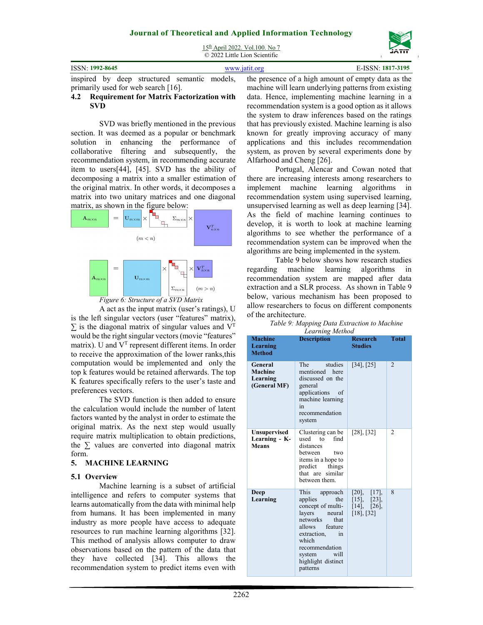© 2022 Little Lion Scientific

| <b>ISSN: 1992-8645</b>                   | www.jatit.org | E-ISSN: 1817-3195                                                                               |
|------------------------------------------|---------------|-------------------------------------------------------------------------------------------------|
|                                          |               | inspired by deep structured semantic models, the presence of a high amount of empty data as the |
| 141] doggerthese downtown to the morning |               | maghina will loom underlying nottoma from evicting                                              |

#### primarily used for web search [16]. **4.2 Requirement for Matrix Factorization with SVD**

SVD was briefly mentioned in the previous section. It was deemed as a popular or benchmark solution in enhancing the performance of collaborative filtering and subsequently, the recommendation system, in recommending accurate item to users[44], [45]. SVD has the ability of decomposing a matrix into a smaller estimation of the original matrix. In other words, it decomposes a matrix into two unitary matrices and one diagonal matrix, as shown in the figure below:





A act as the input matrix (user's ratings), U is the left singular vectors (user "features" matrix),  $\Sigma$  is the diagonal matrix of singular values and  $V<sup>T</sup>$ would be the right singular vectors (movie "features" matrix). U and  $V<sup>T</sup>$  represent different items. In order to receive the approximation of the lower ranks,this computation would be implemented and only the top k features would be retained afterwards. The top K features specifically refers to the user's taste and preferences vectors.

The SVD function is then added to ensure the calculation would include the number of latent factors wanted by the analyst in order to estimate the original matrix. As the next step would usually require matrix multiplication to obtain predictions, the  $\Sigma$  values are converted into diagonal matrix form.

# **5. MACHINE LEARNING**

### **5.1 Overview**

Machine learning is a subset of artificial intelligence and refers to computer systems that learns automatically from the data with minimal help from humans. It has been implemented in many industry as more people have access to adequate resources to run machine learning algorithms [32]. This method of analysis allows computer to draw observations based on the pattern of the data that they have collected [34]. This allows the recommendation system to predict items even with

the presence of a high amount of empty data as the machine will learn underlying patterns from existing data. Hence, implementing machine learning in a recommendation system is a good option as it allows the system to draw inferences based on the ratings that has previously existed. Machine learning is also known for greatly improving accuracy of many applications and this includes recommendation system, as proven by several experiments done by Alfarhood and Cheng [26].

Portugal, Alencar and Cowan noted that there are increasing interests among researchers to implement machine learning algorithms in recommendation system using supervised learning, unsupervised learning as well as deep learning [34]. As the field of machine learning continues to develop, it is worth to look at machine learning algorithms to see whether the performance of a recommendation system can be improved when the algorithms are being implemented in the system.

Table 9 below shows how research studies regarding machine learning algorithms in recommendation system are mapped after data extraction and a SLR process. As shown in Table 9 below, various mechanism has been proposed to allow researchers to focus on different components of the architecture.

| Table 9: Mapping Data Extraction to Machine |
|---------------------------------------------|
| Learning Method                             |

| <b>Machine</b>                                       | Learning memoa<br><b>Description</b>                                                                                                                                                                                  | <b>Research</b>                                                                      | <b>Total</b>   |
|------------------------------------------------------|-----------------------------------------------------------------------------------------------------------------------------------------------------------------------------------------------------------------------|--------------------------------------------------------------------------------------|----------------|
| Learning<br><b>Method</b>                            |                                                                                                                                                                                                                       | <b>Studies</b>                                                                       |                |
| General<br>Machine<br>Learning<br>(General MF)       | studies<br><b>The</b><br>mentioned here<br>discussed on the<br>general<br>applications<br>οf<br>machine learning<br>in<br>recommendation<br>system                                                                    | $[34]$ , $[25]$                                                                      | $\mathfrak{D}$ |
| <b>Unsupervised</b><br>Learning - K-<br><b>Means</b> | Clustering can be<br>used to<br>find<br>distances<br>between<br>two<br>items in a hope to<br>predict<br>things<br>that are<br>similar<br>between them.                                                                | $[28]$ , $[32]$                                                                      | 2              |
| Deep<br>Learning                                     | This<br>approach<br>applies<br>the<br>concept of multi-<br>layers<br>neural<br>that<br>networks<br>allows feature<br>extraction,<br>in<br>which<br>recommendation<br>will<br>system<br>highlight distinct<br>patterns | $[20]$ ,<br>$[17]$ ,<br>$[15]$ ,<br>$[23]$ ,<br>$[14]$ , $[26]$ ,<br>$[18]$ , $[32]$ | $\mathbf{8}$   |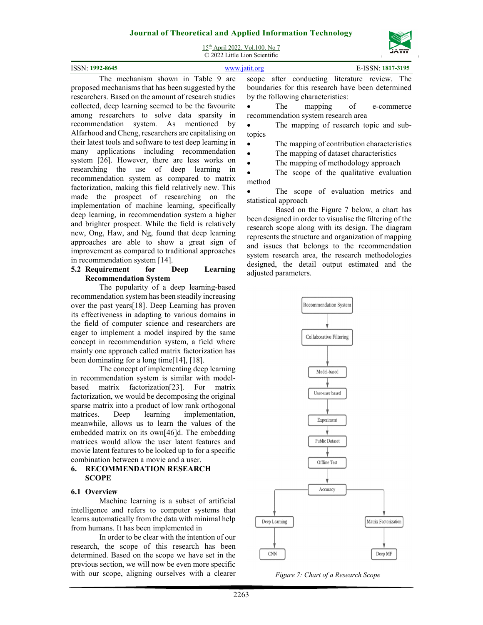

15th April 2022. Vol.100. No 7 © 2022 Little Lion Scientific

| 1992-8645<br><b>ICCNI-</b> |                                          |  |  |  |                                                                                                                                               |             |  |
|----------------------------|------------------------------------------|--|--|--|-----------------------------------------------------------------------------------------------------------------------------------------------|-------------|--|
|                            | $1 \cdot 1$ $1 \cdot 1$ $1 \cdot 11$ $0$ |  |  |  | $\frac{1}{2}$ , $\frac{1}{2}$ , $\frac{1}{2}$ , $\frac{1}{2}$ , $\frac{1}{2}$ , $\frac{1}{2}$ , $\frac{1}{2}$ , $\frac{1}{2}$ , $\frac{1}{2}$ | ___________ |  |

The mechanism shown in Table 9 are proposed mechanisms that has been suggested by the researchers. Based on the amount of research studies collected, deep learning seemed to be the favourite among researchers to solve data sparsity in recommendation system. As mentioned by Alfarhood and Cheng, researchers are capitalising on their latest tools and software to test deep learning in many applications including recommendation system [26]. However, there are less works on researching the use of deep learning in recommendation system as compared to matrix factorization, making this field relatively new. This made the prospect of researching on the implementation of machine learning, specifically deep learning, in recommendation system a higher and brighter prospect. While the field is relatively new, Ong, Haw, and Ng, found that deep learning approaches are able to show a great sign of improvement as compared to traditional approaches in recommendation system [14].

# **5.2 Requirement for Deep Learning Recommendation System**

The popularity of a deep learning-based recommendation system has been steadily increasing over the past years[18]. Deep Learning has proven its effectiveness in adapting to various domains in the field of computer science and researchers are eager to implement a model inspired by the same concept in recommendation system, a field where mainly one approach called matrix factorization has been dominating for a long time[14], [18].

The concept of implementing deep learning in recommendation system is similar with modelbased matrix factorization[23]. For matrix factorization, we would be decomposing the original sparse matrix into a product of low rank orthogonal matrices. Deep learning implementation, meanwhile, allows us to learn the values of the embedded matrix on its own[46]d. The embedding matrices would allow the user latent features and movie latent features to be looked up to for a specific combination between a movie and a user.

# **6. RECOMMENDATION RESEARCH SCOPE**

### **6.1 Overview**

Machine learning is a subset of artificial intelligence and refers to computer systems that learns automatically from the data with minimal help from humans. It has been implemented in

In order to be clear with the intention of our research, the scope of this research has been determined. Based on the scope we have set in the previous section, we will now be even more specific with our scope, aligning ourselves with a clearer scope after conducting literature review. The boundaries for this research have been determined by the following characteristics:

• The mapping of e-commerce recommendation system research area

• The mapping of research topic and subtopics

The mapping of contribution characteristics

The mapping of dataset characteristics

• The mapping of methodology approach

 The scope of the qualitative evaluation method

 The scope of evaluation metrics and statistical approach

Based on the Figure 7 below, a chart has been designed in order to visualise the filtering of the research scope along with its design. The diagram represents the structure and organization of mapping and issues that belongs to the recommendation system research area, the research methodologies designed, the detail output estimated and the adjusted parameters.



*Figure 7: Chart of a Research Scope*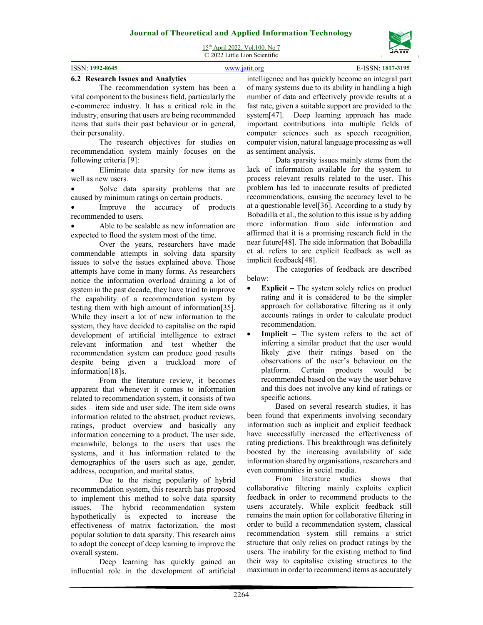| ISSN: 1992-8645 | 1817-3195<br><b>LISSN</b> |
|-----------------|---------------------------|

### **6.2 Research Issues and Analytics**

The recommendation system has been a vital component to the business field, particularly the e-commerce industry. It has a critical role in the industry, ensuring that users are being recommended items that suits their past behaviour or in general, their personality.

The research objectives for studies on recommendation system mainly focuses on the following criteria [9]:

 Eliminate data sparsity for new items as well as new users.

 Solve data sparsity problems that are caused by minimum ratings on certain products.

 Improve the accuracy of products recommended to users.

 Able to be scalable as new information are expected to flood the system most of the time.

Over the years, researchers have made commendable attempts in solving data sparsity issues to solve the issues explained above. Those attempts have come in many forms. As researchers notice the information overload draining a lot of system in the past decade, they have tried to improve the capability of a recommendation system by testing them with high amount of information[35]. While they insert a lot of new information to the system, they have decided to capitalise on the rapid development of artificial intelligence to extract relevant information and test whether the recommendation system can produce good results despite being given a truckload more of information[18]s.

From the literature review, it becomes apparent that whenever it comes to information related to recommendation system, it consists of two sides – item side and user side. The item side owns information related to the abstract, product reviews, ratings, product overview and basically any information concerning to a product. The user side, meanwhile, belongs to the users that uses the systems, and it has information related to the demographics of the users such as age, gender, address, occupation, and marital status.

Due to the rising popularity of hybrid recommendation system, this research has proposed to implement this method to solve data sparsity issues. The hybrid recommendation system hypothetically is expected to increase the effectiveness of matrix factorization, the most popular solution to data sparsity. This research aims to adopt the concept of deep learning to improve the overall system.

Deep learning has quickly gained an influential role in the development of artificial

intelligence and has quickly become an integral part of many systems due to its ability in handling a high number of data and effectively provide results at a fast rate, given a suitable support are provided to the system[47]. Deep learning approach has made important contributions into multiple fields of computer sciences such as speech recognition, computer vision, natural language processing as well as sentiment analysis.

Data sparsity issues mainly stems from the lack of information available for the system to process relevant results related to the user. This problem has led to inaccurate results of predicted recommendations, causing the accuracy level to be at a questionable level[36]. According to a study by Bobadilla et al., the solution to this issue is by adding more information from side information and affirmed that it is a promising research field in the near future[48]. The side information that Bobadilla et al. refers to are explicit feedback as well as implicit feedback[48].

The categories of feedback are described below:

- **Explicit** The system solely relies on product rating and it is considered to be the simpler approach for collaborative filtering as it only accounts ratings in order to calculate product recommendation.
- **Implicit –** The system refers to the act of inferring a similar product that the user would likely give their ratings based on the observations of the user's behaviour on the platform. Certain products would be recommended based on the way the user behave and this does not involve any kind of ratings or specific actions.

Based on several research studies, it has been found that experiments involving secondary information such as implicit and explicit feedback have successfully increased the effectiveness of rating predictions. This breakthrough was definitely boosted by the increasing availability of side information shared by organisations, researchers and even communities in social media.

From literature studies shows that collaborative filtering mainly exploits explicit feedback in order to recommend products to the users accurately. While explicit feedback still remains the main option for collaborative filtering in order to build a recommendation system, classical recommendation system still remains a strict structure that only relies on product ratings by the users. The inability for the existing method to find their way to capitalise existing structures to the maximum in order to recommend items as accurately

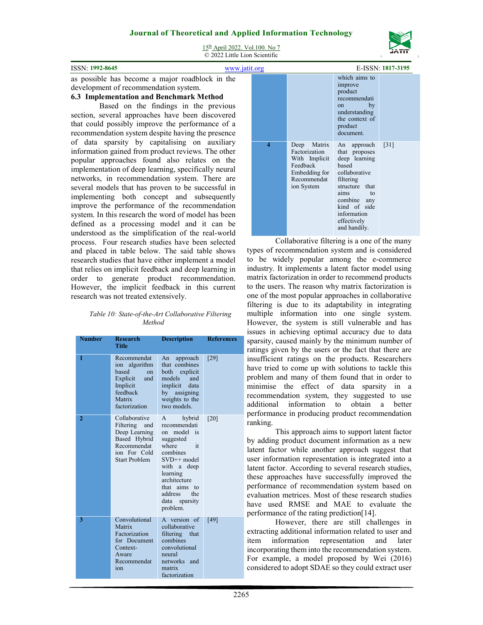

| <b>ISSN: 1992-8645</b> |
|------------------------|
|                        |

# **6.3 Implementation and Benchmark Method**

Based on the findings in the previous section, several approaches have been discovered that could possibly improve the performance of a recommendation system despite having the presence of data sparsity by capitalising on auxiliary information gained from product reviews. The other popular approaches found also relates on the implementation of deep learning, specifically neural networks, in recommendation system. There are several models that has proven to be successful in implementing both concept and subsequently improve the performance of the recommendation system. In this research the word of model has been defined as a processing model and it can be understood as the simplification of the real-world process. Four research studies have been selected and placed in table below. The said table shows research studies that have either implement a model that relies on implicit feedback and deep learning in order to generate product recommendation. However, the implicit feedback in this current research was not treated extensively.

#### *Table 10: State-of-the-Art Collaborative Filtering Method*

| Number         | <b>Research</b><br>Title                                                                                          | <b>Description</b>                                                                                                                                                                                            | <b>References</b> |
|----------------|-------------------------------------------------------------------------------------------------------------------|---------------------------------------------------------------------------------------------------------------------------------------------------------------------------------------------------------------|-------------------|
| 1              | Recommendat<br>ion algorithm<br>based<br>on<br>Explicit<br>and<br>Implicit<br>feedback<br>Matrix<br>factorization | approach<br>An<br>that combines<br>both explicit<br>and<br>models<br>implicit data<br>by assigning<br>weights to the<br>two models.                                                                           | [29]              |
| $\overline{2}$ | Collaborative<br>Filtering and<br>Deep Learning<br>Based Hybrid<br>Recommendat<br>ion For Cold<br>Start Problem   | hybrid<br>A<br>recommendati<br>on model is<br>suggested<br>where<br>it<br>combines<br>$SVD++$ model<br>with a deep<br>learning<br>architecture<br>that aims to<br>address<br>the<br>data sparsity<br>problem. | [20]              |
| 3              | Convolutional<br>Matrix<br>Factorization<br>for Document<br>Context-<br>Aware<br>Recommendat<br>ion               | A version of<br>collaborative<br>filtering that<br>combines<br>convolutional<br>neural<br>networks and<br>matrix<br>factorization                                                                             | [49]              |

| <b>ISSN: 1992-8645</b>                                                                                                                                                                                                                                                                                                                                                                                                                                                                                                                                                        | www.jatit.org           |                                                                                                         |                                                                                                                                                                                                   | E-ISSN: 1817-3195  |
|-------------------------------------------------------------------------------------------------------------------------------------------------------------------------------------------------------------------------------------------------------------------------------------------------------------------------------------------------------------------------------------------------------------------------------------------------------------------------------------------------------------------------------------------------------------------------------|-------------------------|---------------------------------------------------------------------------------------------------------|---------------------------------------------------------------------------------------------------------------------------------------------------------------------------------------------------|--------------------|
| as possible has become a major roadblock in the<br>development of recommendation system.<br>6.3 Implementation and Benchmark Method<br>Based on the findings in the previous<br>section, several approaches have been discovered<br>that could possibly improve the performance of a<br>recommendation system despite having the presence                                                                                                                                                                                                                                     |                         |                                                                                                         | which aims to<br>improve<br>product<br>recommendati<br>by<br>on<br>understanding<br>the context of<br>product<br>document.                                                                        |                    |
| of data sparsity by capitalising on auxiliary<br>information gained from product reviews. The other<br>popular approaches found also relates on the<br>implementation of deep learning, specifically neural<br>networks, in recommendation system. There are<br>several models that has proven to be successful in<br>implementing both concept and subsequently<br>improve the performance of the recommendation<br>system. In this research the word of model has been<br>defined as a processing model and it can be<br>understood as the simplification of the real-world | $\overline{\mathbf{4}}$ | Deep Matrix<br>Factorization<br>With Implicit<br>Feedback<br>Embedding for<br>Recommendat<br>ion System | An approach<br>that proposes<br>deep learning<br>based<br>collaborative<br>filtering<br>structure that<br>aims<br>to<br>combine any<br>kind of side<br>information<br>effectively<br>and handily. | $\lceil 31 \rceil$ |

Collaborative filtering is a one of the many types of recommendation system and is considered to be widely popular among the e-commerce industry. It implements a latent factor model using matrix factorization in order to recommend products to the users. The reason why matrix factorization is one of the most popular approaches in collaborative filtering is due to its adaptability in integrating multiple information into one single system. However, the system is still vulnerable and has issues in achieving optimal accuracy due to data sparsity, caused mainly by the minimum number of ratings given by the users or the fact that there are insufficient ratings on the products. Researchers have tried to come up with solutions to tackle this problem and many of them found that in order to minimise the effect of data sparsity in a recommendation system, they suggested to use additional information to obtain a better performance in producing product recommendation ranking.

This approach aims to support latent factor by adding product document information as a new latent factor while another approach suggest that user information representation is integrated into a latent factor. According to several research studies, these approaches have successfully improved the performance of recommendation system based on evaluation metrices. Most of these research studies have used RMSE and MAE to evaluate the performance of the rating prediction[14].

However, there are still challenges in extracting additional information related to user and item information representation and later incorporating them into the recommendation system. For example, a model proposed by Wei (2016) considered to adopt SDAE so they could extract user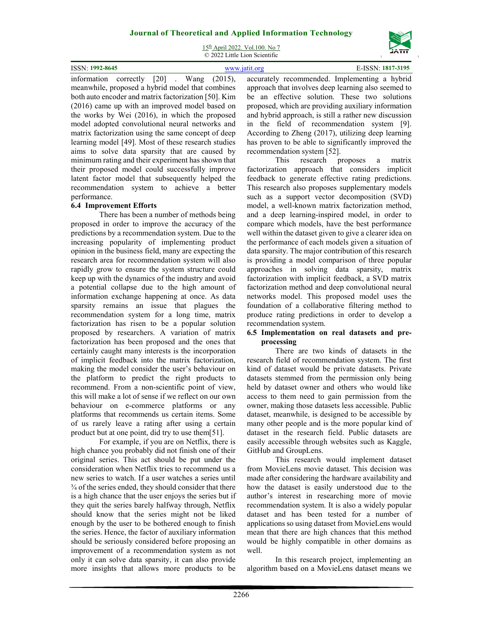15th April 2022. Vol.100. No 7 © 2022 Little Lion Scientific



information correctly [20] . Wang (2015), meanwhile, proposed a hybrid model that combines both auto encoder and matrix factorization [50]. Kim (2016) came up with an improved model based on the works by Wei (2016), in which the proposed model adopted convolutional neural networks and matrix factorization using the same concept of deep learning model [49]. Most of these research studies aims to solve data sparsity that are caused by minimum rating and their experiment has shown that their proposed model could successfully improve latent factor model that subsequently helped the recommendation system to achieve a better performance.

# **6.4 Improvement Efforts**

There has been a number of methods being proposed in order to improve the accuracy of the predictions by a recommendation system. Due to the increasing popularity of implementing product opinion in the business field, many are expecting the research area for recommendation system will also rapidly grow to ensure the system structure could keep up with the dynamics of the industry and avoid a potential collapse due to the high amount of information exchange happening at once. As data sparsity remains an issue that plagues the recommendation system for a long time, matrix factorization has risen to be a popular solution proposed by researchers. A variation of matrix factorization has been proposed and the ones that certainly caught many interests is the incorporation of implicit feedback into the matrix factorization, making the model consider the user's behaviour on the platform to predict the right products to recommend. From a non-scientific point of view, this will make a lot of sense if we reflect on our own behaviour on e-commerce platforms or any platforms that recommends us certain items. Some of us rarely leave a rating after using a certain product but at one point, did try to use them[51].

For example, if you are on Netflix, there is high chance you probably did not finish one of their original series. This act should be put under the consideration when Netflix tries to recommend us a new series to watch. If a user watches a series until ¾ of the series ended, they should consider that there is a high chance that the user enjoys the series but if they quit the series barely halfway through, Netflix should know that the series might not be liked enough by the user to be bothered enough to finish the series. Hence, the factor of auxiliary information should be seriously considered before proposing an improvement of a recommendation system as not only it can solve data sparsity, it can also provide more insights that allows more products to be

accurately recommended. Implementing a hybrid approach that involves deep learning also seemed to be an effective solution. These two solutions proposed, which are providing auxiliary information and hybrid approach, is still a rather new discussion in the field of recommendation system [9]. According to Zheng (2017), utilizing deep learning has proven to be able to significantly improved the recommendation system [52].

This research proposes a matrix factorization approach that considers implicit feedback to generate effective rating predictions. This research also proposes supplementary models such as a support vector decomposition (SVD) model, a well-known matrix factorization method, and a deep learning-inspired model, in order to compare which models, have the best performance well within the dataset given to give a clearer idea on the performance of each models given a situation of data sparsity. The major contribution of this research is providing a model comparison of three popular approaches in solving data sparsity, matrix factorization with implicit feedback, a SVD matrix factorization method and deep convolutional neural networks model. This proposed model uses the foundation of a collaborative filtering method to produce rating predictions in order to develop a recommendation system.

### **6.5 Implementation on real datasets and preprocessing**

There are two kinds of datasets in the research field of recommendation system. The first kind of dataset would be private datasets. Private datasets stemmed from the permission only being held by dataset owner and others who would like access to them need to gain permission from the owner, making those datasets less accessible. Public dataset, meanwhile, is designed to be accessible by many other people and is the more popular kind of dataset in the research field. Public datasets are easily accessible through websites such as Kaggle, GitHub and GroupLens.

This research would implement dataset from MovieLens movie dataset. This decision was made after considering the hardware availability and how the dataset is easily understood due to the author's interest in researching more of movie recommendation system. It is also a widely popular dataset and has been tested for a number of applications so using dataset from MovieLens would mean that there are high chances that this method would be highly compatible in other domains as well.

In this research project, implementing an algorithm based on a MovieLens dataset means we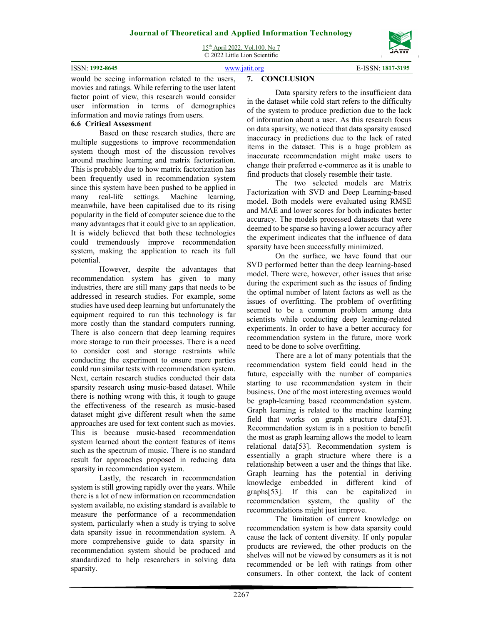15th April 2022. Vol.100. No 7 © 2022 Little Lion Scientific

|                        | $\sim$ 2022 Divite Divit Determine                              |                   |
|------------------------|-----------------------------------------------------------------|-------------------|
| <b>ISSN: 1992-8645</b> | www.jatit.org                                                   | E-ISSN: 1817-3195 |
|                        | would be seeing information related to the users, 7. CONCLUSION |                   |

movies and ratings. While referring to the user latent factor point of view, this research would consider user information in terms of demographics information and movie ratings from users.

# **6.6 Critical Assessment**

Based on these research studies, there are multiple suggestions to improve recommendation system though most of the discussion revolves around machine learning and matrix factorization. This is probably due to how matrix factorization has been frequently used in recommendation system since this system have been pushed to be applied in many real-life settings. Machine learning, meanwhile, have been capitalised due to its rising popularity in the field of computer science due to the many advantages that it could give to an application. It is widely believed that both these technologies could tremendously improve recommendation system, making the application to reach its full potential.

However, despite the advantages that recommendation system has given to many industries, there are still many gaps that needs to be addressed in research studies. For example, some studies have used deep learning but unfortunately the equipment required to run this technology is far more costly than the standard computers running. There is also concern that deep learning requires more storage to run their processes. There is a need to consider cost and storage restraints while conducting the experiment to ensure more parties could run similar tests with recommendation system. Next, certain research studies conducted their data sparsity research using music-based dataset. While there is nothing wrong with this, it tough to gauge the effectiveness of the research as music-based dataset might give different result when the same approaches are used for text content such as movies. This is because music-based recommendation system learned about the content features of items such as the spectrum of music. There is no standard result for approaches proposed in reducing data sparsity in recommendation system.

Lastly, the research in recommendation system is still growing rapidly over the years. While there is a lot of new information on recommendation system available, no existing standard is available to measure the performance of a recommendation system, particularly when a study is trying to solve data sparsity issue in recommendation system. A more comprehensive guide to data sparsity in recommendation system should be produced and standardized to help researchers in solving data sparsity.

# **7. CONCLUSION**

Data sparsity refers to the insufficient data in the dataset while cold start refers to the difficulty of the system to produce prediction due to the lack of information about a user. As this research focus on data sparsity, we noticed that data sparsity caused inaccuracy in predictions due to the lack of rated items in the dataset. This is a huge problem as inaccurate recommendation might make users to change their preferred e-commerce as it is unable to find products that closely resemble their taste.

The two selected models are Matrix Factorization with SVD and Deep Learning-based model. Both models were evaluated using RMSE and MAE and lower scores for both indicates better accuracy. The models processed datasets that were deemed to be sparse so having a lower accuracy after the experiment indicates that the influence of data sparsity have been successfully minimized.

On the surface, we have found that our SVD performed better than the deep learning-based model. There were, however, other issues that arise during the experiment such as the issues of finding the optimal number of latent factors as well as the issues of overfitting. The problem of overfitting seemed to be a common problem among data scientists while conducting deep learning-related experiments. In order to have a better accuracy for recommendation system in the future, more work need to be done to solve overfitting.

There are a lot of many potentials that the recommendation system field could head in the future, especially with the number of companies starting to use recommendation system in their business. One of the most interesting avenues would be graph-learning based recommendation system. Graph learning is related to the machine learning field that works on graph structure data[53]. Recommendation system is in a position to benefit the most as graph learning allows the model to learn relational data[53]. Recommendation system is essentially a graph structure where there is a relationship between a user and the things that like. Graph learning has the potential in deriving knowledge embedded in different kind of graphs[53]. If this can be capitalized in recommendation system, the quality of the recommendations might just improve.

The limitation of current knowledge on recommendation system is how data sparsity could cause the lack of content diversity. If only popular products are reviewed, the other products on the shelves will not be viewed by consumers as it is not recommended or be left with ratings from other consumers. In other context, the lack of content

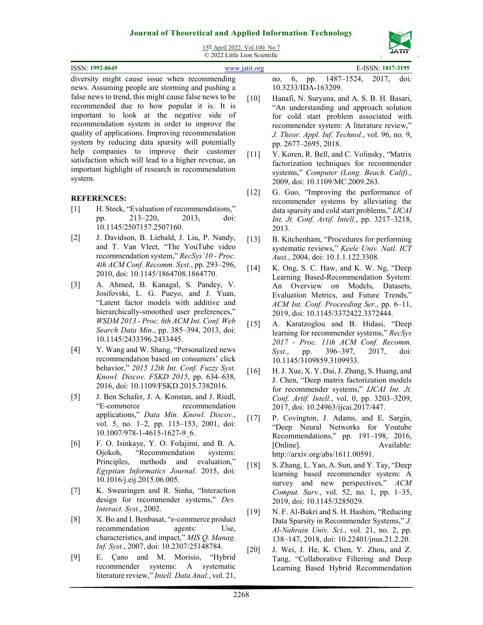

15th April 2022. Vol.100. No 7 © 2022 Little Lion Scientific

| ISSN: 1992-8645                                 | WWW 1911 Org |              |            |          |               | E-ISSN: 1817-3195 |       |
|-------------------------------------------------|--------------|--------------|------------|----------|---------------|-------------------|-------|
| divorgity relate course ignes whom recognoments |              | $n^{\alpha}$ | $\epsilon$ | $-20.25$ | $1407$ $1524$ | 2017              | تتملط |

diversity might cause issue when recommending news. Assuming people are storming and pushing a false news to trend, this might cause false news to be recommended due to how popular it is. It is important to look at the negative side of recommendation system in order to improve the quality of applications. Improving recommendation system by reducing data sparsity will potentially help companies to improve their customer satisfaction which will lead to a higher revenue, an important highlight of research in recommendation system.

# **REFERENCES:**

- [1] H. Steck, "Evaluation of recommendations," pp. 213–220, 2013, doi: 10.1145/2507157.2507160.
- [2] J. Davidson, B. Liebald, J. Liu, P. Nandy, and T. Van Vleet, "The YouTube video recommendation system," *RecSys'10 - Proc. 4th ACM Conf. Recomm. Syst.*, pp. 293–296, 2010, doi: 10.1145/1864708.1864770.
- [3] A. Ahmed, B. Kanagal, S. Pandey, V. Josifovski, L. G. Pueyo, and J. Yuan, "Latent factor models with additive and hierarchically-smoothed user preferences," *WSDM 2013 - Proc. 6th ACM Int. Conf. Web Search Data Min.*, pp. 385–394, 2013, doi: 10.1145/2433396.2433445.
- [4] Y. Wang and W. Shang, "Personalized news recommendation based on consumers' click behavior," *2015 12th Int. Conf. Fuzzy Syst. Knowl. Discov. FSKD 2015*, pp. 634–638, 2016, doi: 10.1109/FSKD.2015.7382016.
- [5] J. Ben Schafer, J. A. Konstan, and J. Riedl, "E-commerce recommendation applications," *Data Min. Knowl. Discov.*, vol. 5, no. 1-2, pp. 115-153, 2001, doi: 10.1007/978-1-4615-1627-9\_6.
- [6] F. O. Isinkaye, Y. O. Folajimi, and B. A. Ojokoh, "Recommendation systems: Principles, methods and evaluation," *Egyptian Informatics Journal*. 2015, doi: 10.1016/j.eij.2015.06.005.
- [7] K. Swearingen and R. Sinha, "Interaction design for recommender systems," *Des. Interact. Syst.*, 2002.
- [8] X. Bo and I. Benbasat, "e-commerce product recommendation agents: Use, characteristics, and impact," *MIS Q. Manag. Inf. Syst.*, 2007, doi: 10.2307/25148784.
- [9] E. Çano and M. Morisio, "Hybrid recommender systems: A systematic literature review," *Intell. Data Anal.*, vol. 21,

|                     |  |  | no. 6, pp. 1487–1524, 2017, doi: |  |  |
|---------------------|--|--|----------------------------------|--|--|
| 10.3233/IDA-163209. |  |  |                                  |  |  |

- [10] Hanafi, N. Suryana, and A. S. B. H. Basari, "An understanding and approach solution for cold start problem associated with recommender system: A literature review," *J. Theor. Appl. Inf. Technol.*, vol. 96, no. 9, pp. 2677–2695, 2018.
- [11] Y. Koren, R. Bell, and C. Volinsky, "Matrix factorization techniques for recommender systems," *Computer (Long. Beach. Calif).*, 2009, doi: 10.1109/MC.2009.263.
- [12] G. Guo, "Improving the performance of recommender systems by alleviating the data sparsity and cold start problems," *IJCAI Int. Jt. Conf. Artif. Intell.*, pp. 3217–3218, 2013.
- [13] B. Kitchenham, "Procedures for performing systematic reviews," *Keele Univ. Natl. ICT Aust.*, 2004, doi: 10.1.1.122.3308.
- [14] K. Ong, S. C. Haw, and K. W. Ng, "Deep Learning Based-Recommendation System: An Overview on Models, Datasets, Evaluation Metrics, and Future Trends," *ACM Int. Conf. Proceeding Ser.*, pp. 6–11, 2019, doi: 10.1145/3372422.3372444.
- [15] A. Karatzoglou and B. Hidasi, "Deep learning for recommender systems," *RecSys 2017 - Proc. 11th ACM Conf. Recomm. Syst.*, pp. 396–397, 2017, doi: 10.1145/3109859.3109933.
- [16] H. J. Xue, X. Y. Dai, J. Zhang, S. Huang, and J. Chen, "Deep matrix factorization models for recommender systems," *IJCAI Int. Jt. Conf. Artif. Intell.*, vol. 0, pp. 3203–3209, 2017, doi: 10.24963/ijcai.2017/447.
- [17] P. Covington, J. Adams, and E. Sargin, "Deep Neural Networks for Youtube Recommendations," pp. 191–198, 2016, [Online]. Available: http://arxiv.org/abs/1611.00591.
- [18] S. Zhang, L. Yao, A. Sun, and Y. Tay, "Deep learning based recommender system: A survey and new perspectives," ACM *Comput. Surv.*, vol. 52, no. 1, pp. 1–35, 2019, doi: 10.1145/3285029.
- [19] N. F. Al-Bakri and S. H. Hashim, "Reducing Data Sparsity in Recommender Systems," *J. Al-Nahrain Univ. Sci.*, vol. 21, no. 2, pp. 138–147, 2018, doi: 10.22401/jnus.21.2.20.
- [20] J. Wei, J. He, K. Chen, Y. Zhou, and Z. Tang, "Collaborative Filtering and Deep Learning Based Hybrid Recommendation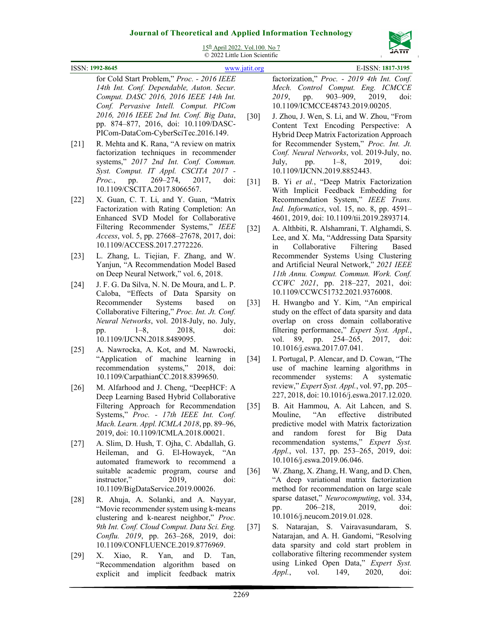

15th April 2022. Vol.100. No 7 © 2022 Little Lion Scientific

| 12 April 2022. VOI.100.190 /<br>דורגנ<br>© 2022 Little Lion Scientific |                                                                                                                                                                                                                                                                                    |                    |                                                                                                                                                                                                                                                                                                                   |  |  |
|------------------------------------------------------------------------|------------------------------------------------------------------------------------------------------------------------------------------------------------------------------------------------------------------------------------------------------------------------------------|--------------------|-------------------------------------------------------------------------------------------------------------------------------------------------------------------------------------------------------------------------------------------------------------------------------------------------------------------|--|--|
|                                                                        | ISSN: 1992-8645                                                                                                                                                                                                                                                                    | www.jatit.org      | E-ISSN: 1817-3195                                                                                                                                                                                                                                                                                                 |  |  |
|                                                                        | for Cold Start Problem," Proc. - 2016 IEEE<br>14th Int. Conf. Dependable, Auton. Secur.<br>Comput. DASC 2016, 2016 IEEE 14th Int.<br>Conf. Pervasive Intell. Comput. PICom<br>2016, 2016 IEEE 2nd Int. Conf. Big Data,<br>pp. 874-877, 2016, doi: 10.1109/DASC-                    | $[30]$             | factorization," Proc. - 2019 4th Int. Conf.<br>Mech. Control Comput. Eng. ICMCCE<br>903-909,<br>2019,<br>doi:<br>2019,<br>pp.<br>10.1109/ICMCCE48743.2019.00205.<br>J. Zhou, J. Wen, S. Li, and W. Zhou, "From<br>Content Text Encoding Perspective: A                                                            |  |  |
| $[21]$                                                                 | PICom-DataCom-CyberSciTec.2016.149.<br>R. Mehta and K. Rana, "A review on matrix<br>factorization techniques in recommender<br>systems," 2017 2nd Int. Conf. Commun.<br>Syst. Comput. IT Appl. CSCITA 2017 -<br>$269 - 274,$<br>2017,<br>Proc.,<br>pp.<br>doi:                     | $[31]$             | Hybrid Deep Matrix Factorization Approach<br>for Recommender System," Proc. Int. Jt.<br>Conf. Neural Networks, vol. 2019-July, no.<br>2019,<br>$1 - 8$ ,<br>doi:<br>July,<br>pp.<br>10.1109/IJCNN.2019.8852443.<br>B. Yi et al., "Deep Matrix Factorization                                                       |  |  |
| $[22]$                                                                 | 10.1109/CSCITA.2017.8066567.<br>X. Guan, C. T. Li, and Y. Guan, "Matrix<br>Factorization with Rating Completion: An<br>Enhanced SVD Model for Collaborative<br>Filtering Recommender Systems," IEEE<br>Access, vol. 5, pp. 27668-27678, 2017, doi:<br>10.1109/ACCESS.2017.2772226. | $[32]$             | With Implicit Feedback Embedding for<br>Recommendation System," IEEE Trans.<br>Ind. Informatics, vol. 15, no. 8, pp. 4591-<br>4601, 2019, doi: 10.1109/tii.2019.2893714.<br>A. Althbiti, R. Alshamrani, T. Alghamdi, S.<br>Lee, and X. Ma, "Addressing Data Sparsity<br>Collaborative<br>Filtering<br>Based<br>in |  |  |
| $[23]$<br>$[24]$                                                       | L. Zhang, L. Tiejian, F. Zhang, and W.<br>Yanjun, "A Recommendation Model Based<br>on Deep Neural Network," vol. 6, 2018.<br>J. F. G. Da Silva, N. N. De Moura, and L. P.                                                                                                          |                    | Recommender Systems Using Clustering<br>and Artificial Neural Network," 2021 IEEE<br>11th Annu. Comput. Commun. Work. Conf.<br>CCWC 2021, pp. 218-227, 2021, doi:                                                                                                                                                 |  |  |
|                                                                        | Caloba, "Effects of Data Sparsity<br>on<br>Recommender<br>Systems<br>based<br>on<br>Collaborative Filtering," Proc. Int. Jt. Conf.<br>Neural Networks, vol. 2018-July, no. July,<br>2018,<br>$1 - 8$ ,<br>doi:<br>pp.<br>10.1109/IJCNN.2018.8489095.                               | $[33]$             | 10.1109/CCWC51732.2021.9376008.<br>H. Hwangbo and Y. Kim, "An empirical<br>study on the effect of data sparsity and data<br>overlap on cross domain collaborative<br>filtering performance," Expert Syst. Appl.,<br>$254 - 265,$<br>2017,<br>vol.<br>89,<br>pp.<br>doi:                                           |  |  |
| $[25]$                                                                 | A. Nawrocka, A. Kot, and M. Nawrocki,<br>"Application of machine learning<br>in<br>recommendation systems,"<br>2018,<br>doi:<br>10.1109/CarpathianCC.2018.8399650.                                                                                                                 | $[34]$             | 10.1016/j.eswa.2017.07.041.<br>I. Portugal, P. Alencar, and D. Cowan, "The<br>use of machine learning algorithms in<br>systems: A<br>recommender<br>systematic                                                                                                                                                    |  |  |
| [26]                                                                   | M. Alfarhood and J. Cheng, "DeepHCF: A<br>Deep Learning Based Hybrid Collaborative<br>Filtering Approach for Recommendation<br>Systems," Proc. - 17th IEEE Int. Conf.<br>Mach. Learn. Appl. ICMLA 2018, pp. 89-96,<br>2019, doi: 10.1109/ICMLA.2018.00021.                         | $[35]$             | review," Expert Syst. Appl., vol. 97, pp. 205–<br>227, 2018, doi: 10.1016/j.eswa.2017.12.020.<br>B. Ait Hammou, A. Ait Lahcen, and S.<br>$A_n$<br>effective<br>Mouline,<br>distributed<br>predictive model with Matrix factorization<br>random<br>forest<br>for<br>Big<br>and<br>Data                             |  |  |
| $[27]$                                                                 | A. Slim, D. Hush, T. Ojha, C. Abdallah, G.<br>Heileman,<br>and G. El-Howayek, "An<br>automated framework to recommend a<br>suitable academic program, course and<br>doi:<br>instructor,"<br>2019,<br>10.1109/BigDataService.2019.00026.                                            | $\lceil 36 \rceil$ | recommendation systems," Expert Syst.<br>Appl., vol. 137, pp. 253-265, 2019, doi:<br>10.1016/j.eswa.2019.06.046.<br>W. Zhang, X. Zhang, H. Wang, and D. Chen,<br>"A deep variational matrix factorization<br>method for recommendation on large scale                                                             |  |  |
| $[28]$                                                                 | R. Ahuja, A. Solanki, and A. Nayyar,<br>"Movie recommender system using k-means<br>clustering and k-nearest neighbor," Proc.<br>9th Int. Conf. Cloud Comput. Data Sci. Eng.<br>Conflu. 2019, pp. 263-268, 2019, doi:<br>10.1109/CONFLUENCE.2019.8776969.                           | $[37]$             | sparse dataset," Neurocomputing, vol. 334,<br>$206 - 218$ ,<br>2019,<br>doi:<br>pp.<br>10.1016/j.neucom.2019.01.028.<br>Natarajan, S. Vairavasundaram, S.<br>S.<br>Natarajan, and A. H. Gandomi, "Resolving<br>data sparsity and cold start problem in                                                            |  |  |
| $[29]$                                                                 | Yan,<br>and<br>Xiao,<br>R.<br>D.<br>Tan,<br>Χ.<br>"Recommendation algorithm<br>based on<br>explicit and implicit feedback matrix                                                                                                                                                   |                    | collaborative filtering recommender system<br>using Linked Open Data," Expert Syst.<br>149,<br>$Appl.$ ,<br>vol.<br>2020,<br>doi:                                                                                                                                                                                 |  |  |